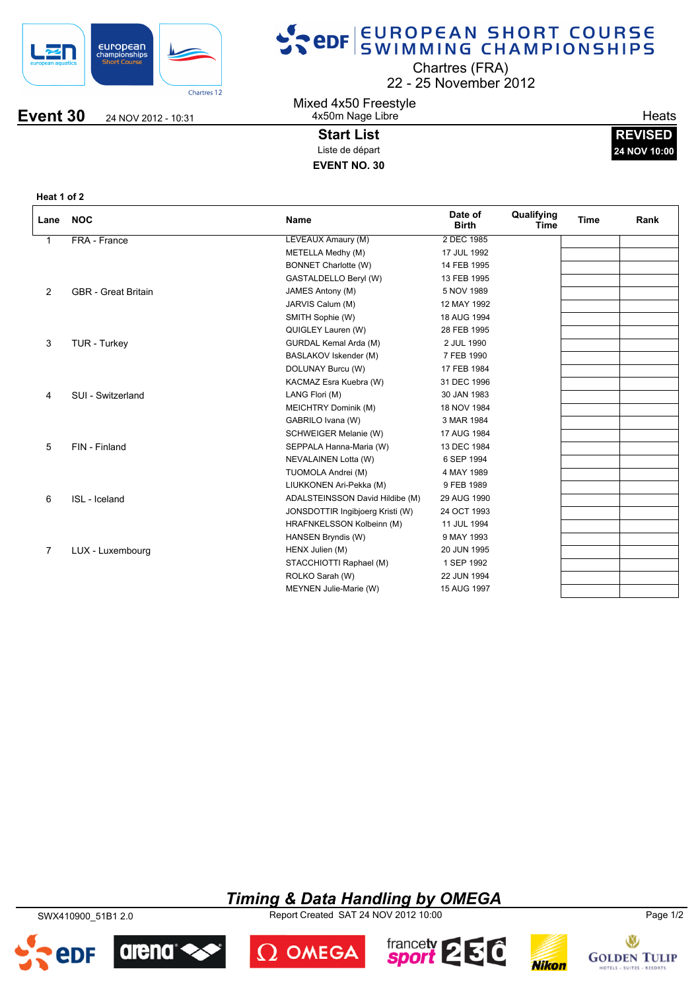

## SPOR EUROPEAN SHORT COURSE

22 25 November 2012 Chartres (FRA)

**Event 30** 24 NOV 2012 - 10:31

Mixed 4x50 Freestyle 4x50m Nage Libre

> **Start List** Liste de départ **EVENT NO. 30**

**Heats** 

**REVISED 24 NOV 10:00**

**Heat 1 of 2**

| Lane           | <b>NOC</b>                 | <b>Name</b>                      | Date of<br><b>Birth</b> | Qualifying<br>Time | <b>Time</b> | Rank |
|----------------|----------------------------|----------------------------------|-------------------------|--------------------|-------------|------|
| 1              | FRA - France               | LEVEAUX Amaury (M)               | 2 DEC 1985              |                    |             |      |
|                |                            | METELLA Medhy (M)                | 17 JUL 1992             |                    |             |      |
|                |                            | <b>BONNET Charlotte (W)</b>      | 14 FEB 1995             |                    |             |      |
|                |                            | GASTALDELLO Beryl (W)            | 13 FEB 1995             |                    |             |      |
| $\overline{2}$ | <b>GBR</b> - Great Britain | JAMES Antony (M)                 | 5 NOV 1989              |                    |             |      |
|                |                            | JARVIS Calum (M)                 | 12 MAY 1992             |                    |             |      |
|                |                            | SMITH Sophie (W)                 | 18 AUG 1994             |                    |             |      |
|                |                            | QUIGLEY Lauren (W)               | 28 FEB 1995             |                    |             |      |
| 3              | TUR - Turkey               | GURDAL Kemal Arda (M)            | 2 JUL 1990              |                    |             |      |
|                |                            | BASLAKOV Iskender (M)            | 7 FEB 1990              |                    |             |      |
|                |                            | DOLUNAY Burcu (W)                | 17 FEB 1984             |                    |             |      |
|                |                            | KACMAZ Esra Kuebra (W)           | 31 DEC 1996             |                    |             |      |
| 4              | SUI - Switzerland          | LANG Flori (M)                   | 30 JAN 1983             |                    |             |      |
|                |                            | MEICHTRY Dominik (M)             | 18 NOV 1984             |                    |             |      |
|                |                            | GABRILO Ivana (W)                | 3 MAR 1984              |                    |             |      |
|                |                            | SCHWEIGER Melanie (W)            | 17 AUG 1984             |                    |             |      |
| 5              | FIN - Finland              | SEPPALA Hanna-Maria (W)          | 13 DEC 1984             |                    |             |      |
|                |                            | NEVALAINEN Lotta (W)             | 6 SEP 1994              |                    |             |      |
|                |                            | TUOMOLA Andrei (M)               | 4 MAY 1989              |                    |             |      |
|                |                            | LIUKKONEN Ari-Pekka (M)          | 9 FEB 1989              |                    |             |      |
| 6              | ISL - Iceland              | ADALSTEINSSON David Hildibe (M)  | 29 AUG 1990             |                    |             |      |
|                |                            | JONSDOTTIR Ingibjoerg Kristi (W) | 24 OCT 1993             |                    |             |      |
|                |                            | HRAFNKELSSON Kolbeinn (M)        | 11 JUL 1994             |                    |             |      |
|                |                            | HANSEN Bryndis (W)               | 9 MAY 1993              |                    |             |      |
| $\overline{7}$ | LUX - Luxembourg           | HENX Julien (M)                  | 20 JUN 1995             |                    |             |      |
|                |                            | STACCHIOTTI Raphael (M)          | 1 SEP 1992              |                    |             |      |
|                |                            | ROLKO Sarah (W)                  | 22 JUN 1994             |                    |             |      |
|                |                            | MEYNEN Julie-Marie (W)           | 15 AUG 1997             |                    |             |      |

### *Timing & Data Handling by OMEGA*

SWX410900\_51B1 2.0 Report Created SAT 24 NOV 2012 10:00 Page 1/2